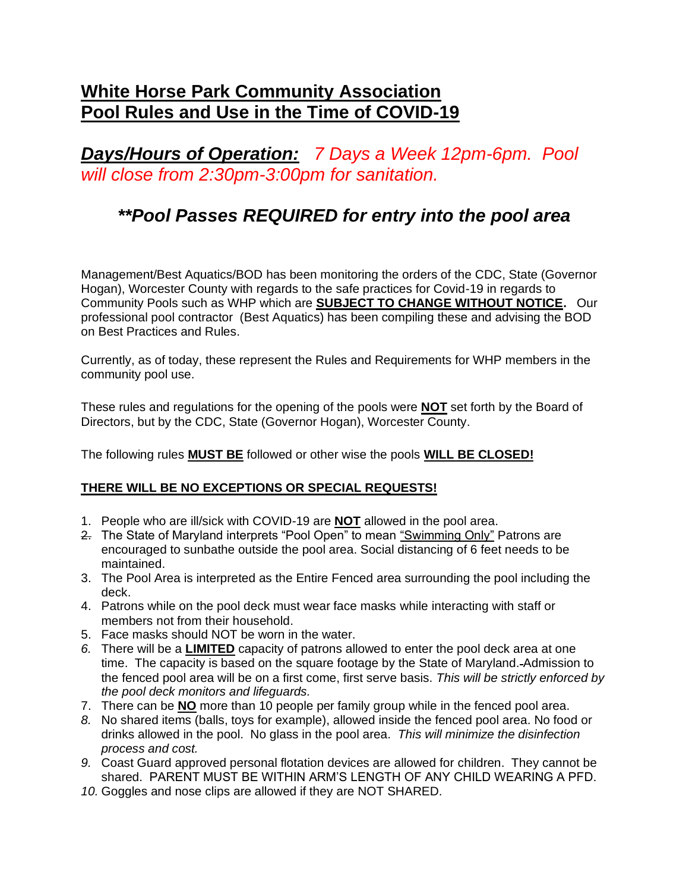## **White Horse Park Community Association Pool Rules and Use in the Time of COVID-19**

*Days/Hours of Operation: 7 Days a Week 12pm-6pm. Pool will close from 2:30pm-3:00pm for sanitation.*

## *\*\*Pool Passes REQUIRED for entry into the pool area*

Management/Best Aquatics/BOD has been monitoring the orders of the CDC, State (Governor Hogan), Worcester County with regards to the safe practices for Covid-19 in regards to Community Pools such as WHP which are **SUBJECT TO CHANGE WITHOUT NOTICE.** Our professional pool contractor (Best Aquatics) has been compiling these and advising the BOD on Best Practices and Rules.

Currently, as of today, these represent the Rules and Requirements for WHP members in the community pool use.

These rules and regulations for the opening of the pools were **NOT** set forth by the Board of Directors, but by the CDC, State (Governor Hogan), Worcester County.

The following rules **MUST BE** followed or other wise the pools **WILL BE CLOSED!**

## **THERE WILL BE NO EXCEPTIONS OR SPECIAL REQUESTS!**

- 1. People who are ill/sick with COVID-19 are **NOT** allowed in the pool area.
- 2. The State of Maryland interprets "Pool Open" to mean "Swimming Only" Patrons are encouraged to sunbathe outside the pool area. Social distancing of 6 feet needs to be maintained.
- 3. The Pool Area is interpreted as the Entire Fenced area surrounding the pool including the deck.
- 4. Patrons while on the pool deck must wear face masks while interacting with staff or members not from their household.
- 5. Face masks should NOT be worn in the water.
- *6.* There will be a **LIMITED** capacity of patrons allowed to enter the pool deck area at one time. The capacity is based on the square footage by the State of Maryland. Admission to the fenced pool area will be on a first come, first serve basis. *This will be strictly enforced by the pool deck monitors and lifeguards.*
- 7. There can be **NO** more than 10 people per family group while in the fenced pool area.
- *8.* No shared items (balls, toys for example), allowed inside the fenced pool area. No food or drinks allowed in the pool. No glass in the pool area. *This will minimize the disinfection process and cost.*
- *9.* Coast Guard approved personal flotation devices are allowed for children. They cannot be shared. PARENT MUST BE WITHIN ARM'S LENGTH OF ANY CHILD WEARING A PFD.
- *10.* Goggles and nose clips are allowed if they are NOT SHARED.